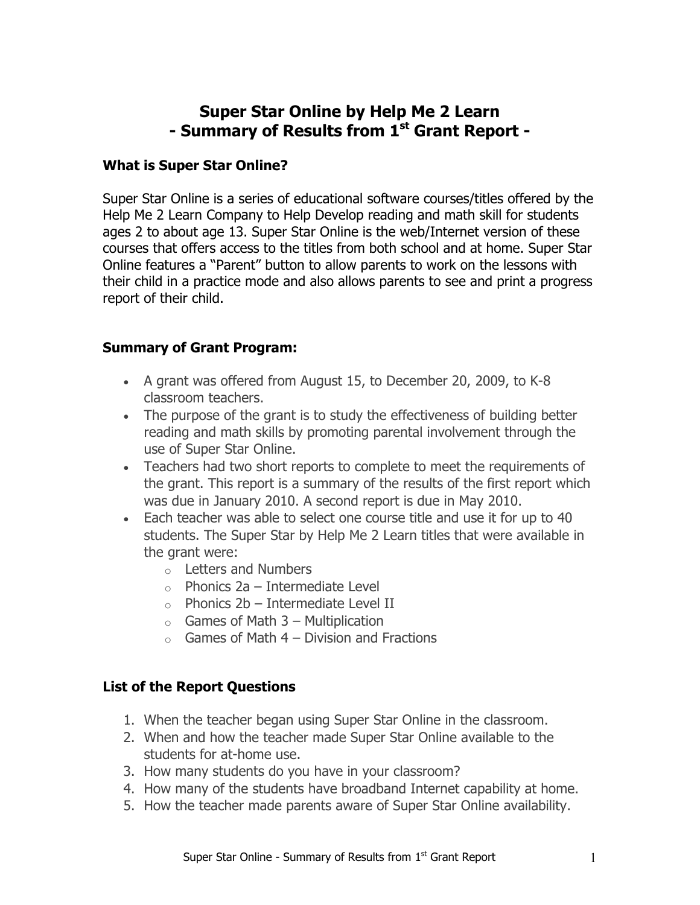# **Super Star Online by Help Me 2 Learn - Summary of Results from 1st Grant Report -**

#### **What is Super Star Online?**

Super Star Online is a series of educational software courses/titles offered by the Help Me 2 Learn Company to Help Develop reading and math skill for students ages 2 to about age 13. Super Star Online is the web/Internet version of these courses that offers access to the titles from both school and at home. Super Star Online features a "Parent" button to allow parents to work on the lessons with their child in a practice mode and also allows parents to see and print a progress report of their child.

#### **Summary of Grant Program:**

- A grant was offered from August 15, to December 20, 2009, to K-8 classroom teachers.
- The purpose of the grant is to study the effectiveness of building better reading and math skills by promoting parental involvement through the use of Super Star Online.
- Teachers had two short reports to complete to meet the requirements of the grant. This report is a summary of the results of the first report which was due in January 2010. A second report is due in May 2010.
- Each teacher was able to select one course title and use it for up to 40 students. The Super Star by Help Me 2 Learn titles that were available in the grant were:
	- o Letters and Numbers
	- $\circ$  Phonics 2a Intermediate Level
	- $\circ$  Phonics 2b Intermediate Level II
	- $\circ$  Games of Math 3 Multiplication
	- $\circ$  Games of Math 4 Division and Fractions

### **List of the Report Questions**

- 1. When the teacher began using Super Star Online in the classroom.
- 2. When and how the teacher made Super Star Online available to the students for at-home use.
- 3. How many students do you have in your classroom?
- 4. How many of the students have broadband Internet capability at home.
- 5. How the teacher made parents aware of Super Star Online availability.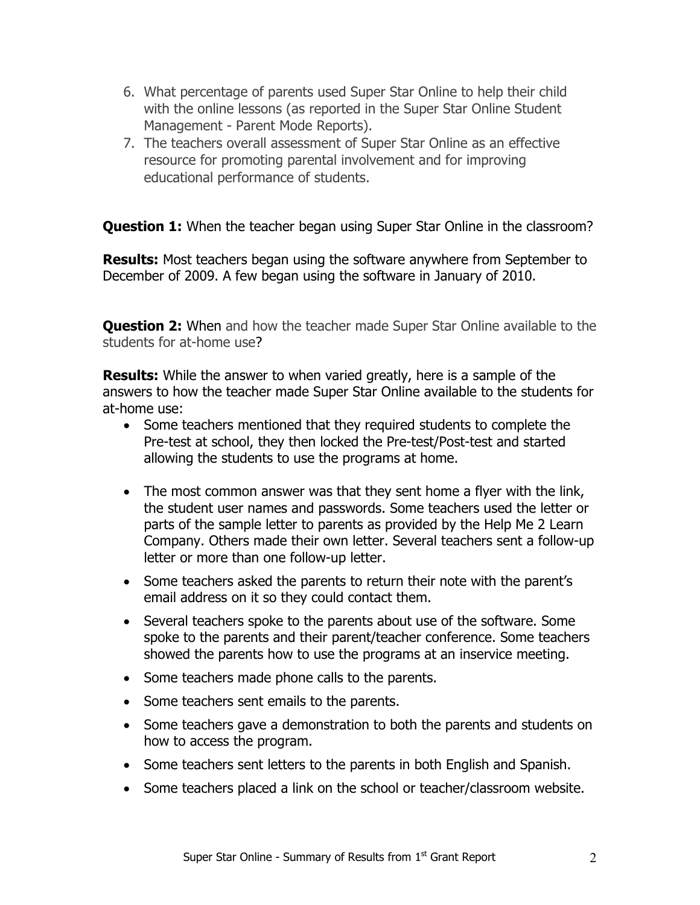- 6. What percentage of parents used Super Star Online to help their child with the online lessons (as reported in the Super Star Online Student Management - Parent Mode Reports).
- 7. The teachers overall assessment of Super Star Online as an effective resource for promoting parental involvement and for improving educational performance of students.

**Question 1:** When the teacher began using Super Star Online in the classroom?

**Results:** Most teachers began using the software anywhere from September to December of 2009. A few began using the software in January of 2010.

**Question 2:** When and how the teacher made Super Star Online available to the students for at-home use?

**Results:** While the answer to when varied greatly, here is a sample of the answers to how the teacher made Super Star Online available to the students for at-home use:

- Some teachers mentioned that they required students to complete the Pre-test at school, they then locked the Pre-test/Post-test and started allowing the students to use the programs at home.
- The most common answer was that they sent home a flyer with the link, the student user names and passwords. Some teachers used the letter or parts of the sample letter to parents as provided by the Help Me 2 Learn Company. Others made their own letter. Several teachers sent a follow-up letter or more than one follow-up letter.
- Some teachers asked the parents to return their note with the parent's email address on it so they could contact them.
- Several teachers spoke to the parents about use of the software. Some spoke to the parents and their parent/teacher conference. Some teachers showed the parents how to use the programs at an inservice meeting.
- Some teachers made phone calls to the parents.
- Some teachers sent emails to the parents.
- Some teachers gave a demonstration to both the parents and students on how to access the program.
- Some teachers sent letters to the parents in both English and Spanish.
- Some teachers placed a link on the school or teacher/classroom website.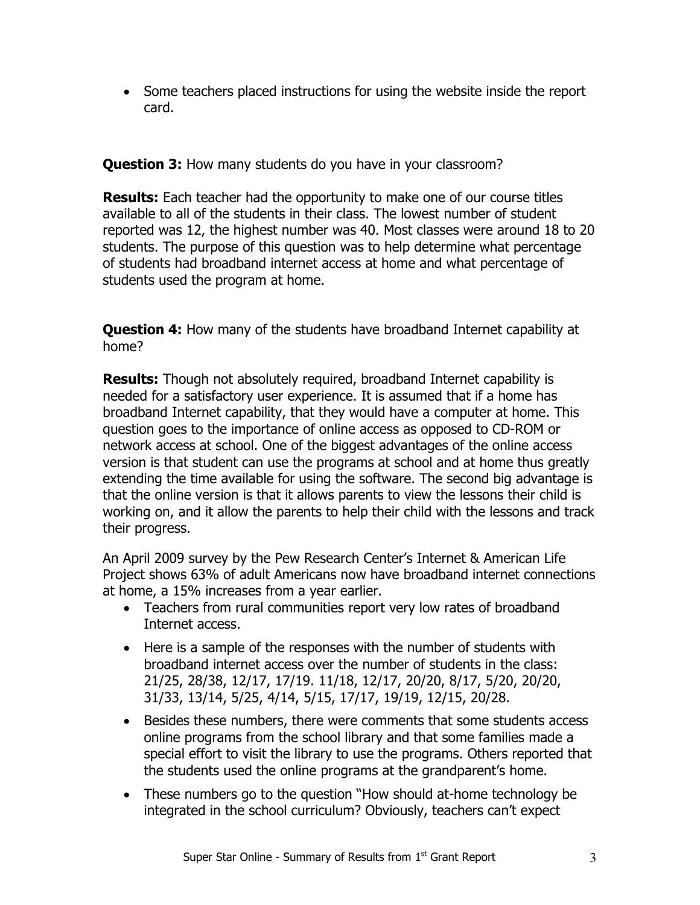• Some teachers placed instructions for using the website inside the report card.

**Question 3:** How many students do you have in your classroom?

**Results:** Each teacher had the opportunity to make one of our course titles available to all of the students in their class. The lowest number of student reported was 12, the highest number was 40. Most classes were around 18 to 20 students. The purpose of this question was to help determine what percentage of students had broadband internet access at home and what percentage of students used the program at home.

**Question 4:** How many of the students have broadband Internet capability at home?

**Results:** Though not absolutely required, broadband Internet capability is needed for a satisfactory user experience. It is assumed that if a home has broadband Internet capability, that they would have a computer at home. This question goes to the importance of online access as opposed to CD-ROM or network access at school. One of the biggest advantages of the online access version is that student can use the programs at school and at home thus greatly extending the time available for using the software. The second big advantage is that the online version is that it allows parents to view the lessons their child is working on, and it allow the parents to help their child with the lessons and track their progress.

An April 2009 survey by the Pew Research Center's Internet & American Life Project shows 63% of adult Americans now have broadband internet connections at home, a 15% increases from a year earlier.

- Teachers from rural communities report very low rates of broadband Internet access.
- Here is a sample of the responses with the number of students with broadband internet access over the number of students in the class: 21/25, 28/38, 12/17, 17/19. 11/18, 12/17, 20/20, 8/17, 5/20, 20/20, 31/33, 13/14, 5/25, 4/14, 5/15, 17/17, 19/19, 12/15, 20/28.
- Besides these numbers, there were comments that some students access online programs from the school library and that some families made a special effort to visit the library to use the programs. Others reported that the students used the online programs at the grandparent's home.
- These numbers go to the question "How should at-home technology be integrated in the school curriculum? Obviously, teachers can't expect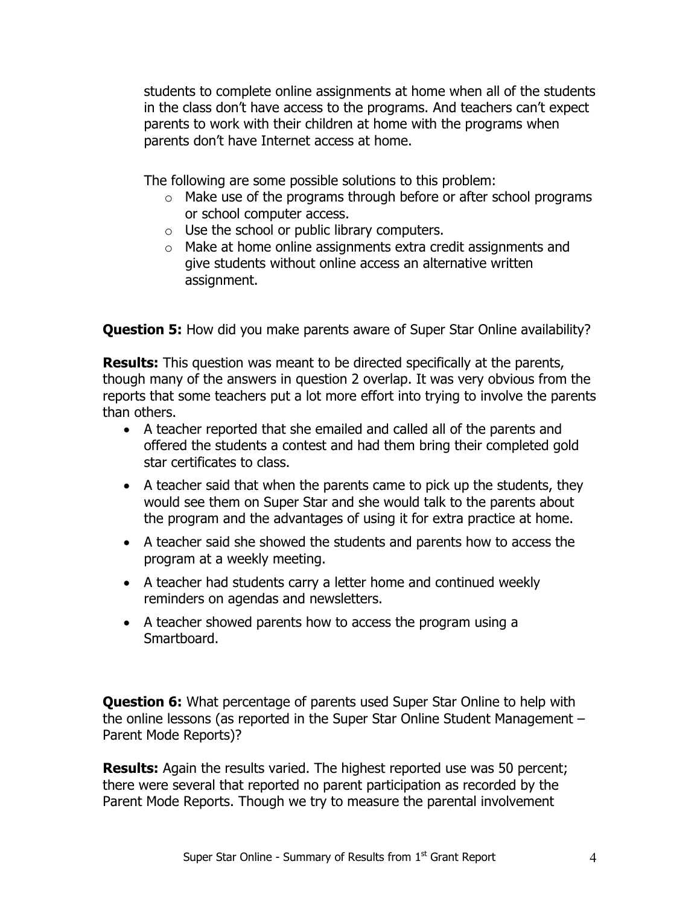students to complete online assignments at home when all of the students in the class don't have access to the programs. And teachers can't expect parents to work with their children at home with the programs when parents don't have Internet access at home.

The following are some possible solutions to this problem:

- o Make use of the programs through before or after school programs or school computer access.
- o Use the school or public library computers.
- o Make at home online assignments extra credit assignments and give students without online access an alternative written assignment.

**Question 5:** How did you make parents aware of Super Star Online availability?

**Results:** This question was meant to be directed specifically at the parents, though many of the answers in question 2 overlap. It was very obvious from the reports that some teachers put a lot more effort into trying to involve the parents than others.

- A teacher reported that she emailed and called all of the parents and offered the students a contest and had them bring their completed gold star certificates to class.
- A teacher said that when the parents came to pick up the students, they would see them on Super Star and she would talk to the parents about the program and the advantages of using it for extra practice at home.
- A teacher said she showed the students and parents how to access the program at a weekly meeting.
- A teacher had students carry a letter home and continued weekly reminders on agendas and newsletters.
- A teacher showed parents how to access the program using a Smartboard.

**Question 6:** What percentage of parents used Super Star Online to help with the online lessons (as reported in the Super Star Online Student Management – Parent Mode Reports)?

**Results:** Again the results varied. The highest reported use was 50 percent; there were several that reported no parent participation as recorded by the Parent Mode Reports. Though we try to measure the parental involvement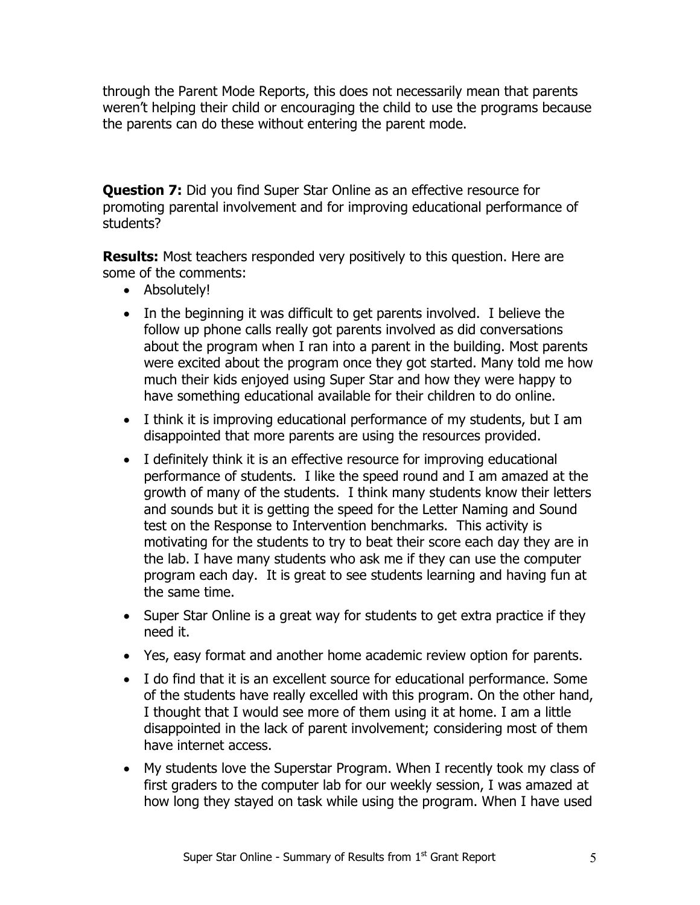through the Parent Mode Reports, this does not necessarily mean that parents weren't helping their child or encouraging the child to use the programs because the parents can do these without entering the parent mode.

**Question 7:** Did you find Super Star Online as an effective resource for promoting parental involvement and for improving educational performance of students?

**Results:** Most teachers responded very positively to this question. Here are some of the comments:

- Absolutely!
- In the beginning it was difficult to get parents involved. I believe the follow up phone calls really got parents involved as did conversations about the program when I ran into a parent in the building. Most parents were excited about the program once they got started. Many told me how much their kids enjoyed using Super Star and how they were happy to have something educational available for their children to do online.
- I think it is improving educational performance of my students, but I am disappointed that more parents are using the resources provided.
- I definitely think it is an effective resource for improving educational performance of students. I like the speed round and I am amazed at the growth of many of the students. I think many students know their letters and sounds but it is getting the speed for the Letter Naming and Sound test on the Response to Intervention benchmarks. This activity is motivating for the students to try to beat their score each day they are in the lab. I have many students who ask me if they can use the computer program each day. It is great to see students learning and having fun at the same time.
- Super Star Online is a great way for students to get extra practice if they need it.
- Yes, easy format and another home academic review option for parents.
- I do find that it is an excellent source for educational performance. Some of the students have really excelled with this program. On the other hand, I thought that I would see more of them using it at home. I am a little disappointed in the lack of parent involvement; considering most of them have internet access.
- My students love the Superstar Program. When I recently took my class of first graders to the computer lab for our weekly session, I was amazed at how long they stayed on task while using the program. When I have used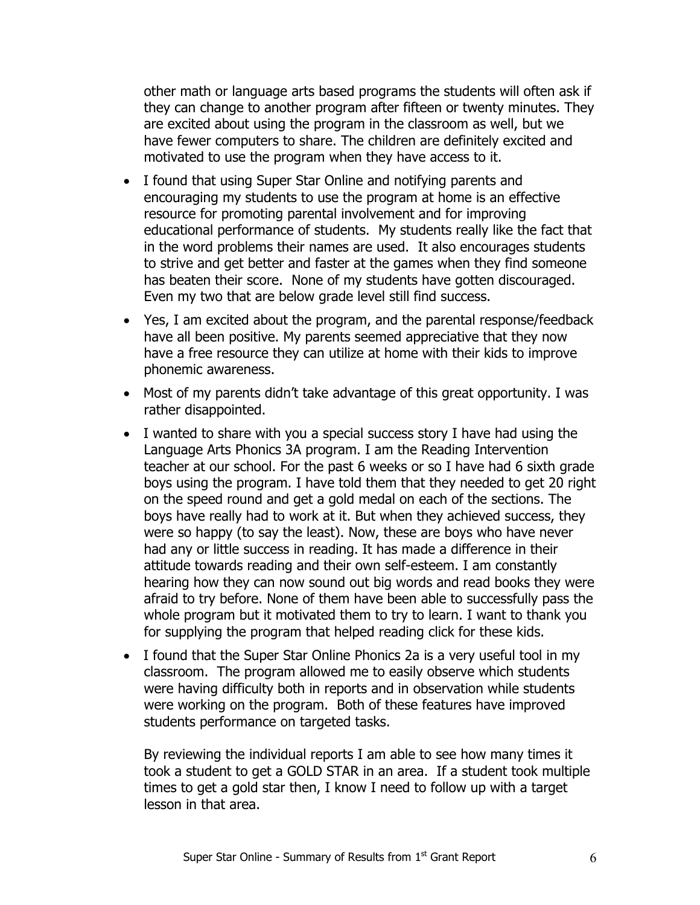other math or language arts based programs the students will often ask if they can change to another program after fifteen or twenty minutes. They are excited about using the program in the classroom as well, but we have fewer computers to share. The children are definitely excited and motivated to use the program when they have access to it.

- I found that using Super Star Online and notifying parents and encouraging my students to use the program at home is an effective resource for promoting parental involvement and for improving educational performance of students. My students really like the fact that in the word problems their names are used. It also encourages students to strive and get better and faster at the games when they find someone has beaten their score. None of my students have gotten discouraged. Even my two that are below grade level still find success.
- Yes, I am excited about the program, and the parental response/feedback have all been positive. My parents seemed appreciative that they now have a free resource they can utilize at home with their kids to improve phonemic awareness.
- Most of my parents didn't take advantage of this great opportunity. I was rather disappointed.
- I wanted to share with you a special success story I have had using the Language Arts Phonics 3A program. I am the Reading Intervention teacher at our school. For the past 6 weeks or so I have had 6 sixth grade boys using the program. I have told them that they needed to get 20 right on the speed round and get a gold medal on each of the sections. The boys have really had to work at it. But when they achieved success, they were so happy (to say the least). Now, these are boys who have never had any or little success in reading. It has made a difference in their attitude towards reading and their own self-esteem. I am constantly hearing how they can now sound out big words and read books they were afraid to try before. None of them have been able to successfully pass the whole program but it motivated them to try to learn. I want to thank you for supplying the program that helped reading click for these kids.
- I found that the Super Star Online Phonics 2a is a very useful tool in my classroom. The program allowed me to easily observe which students were having difficulty both in reports and in observation while students were working on the program. Both of these features have improved students performance on targeted tasks.

By reviewing the individual reports I am able to see how many times it took a student to get a GOLD STAR in an area. If a student took multiple times to get a gold star then, I know I need to follow up with a target lesson in that area.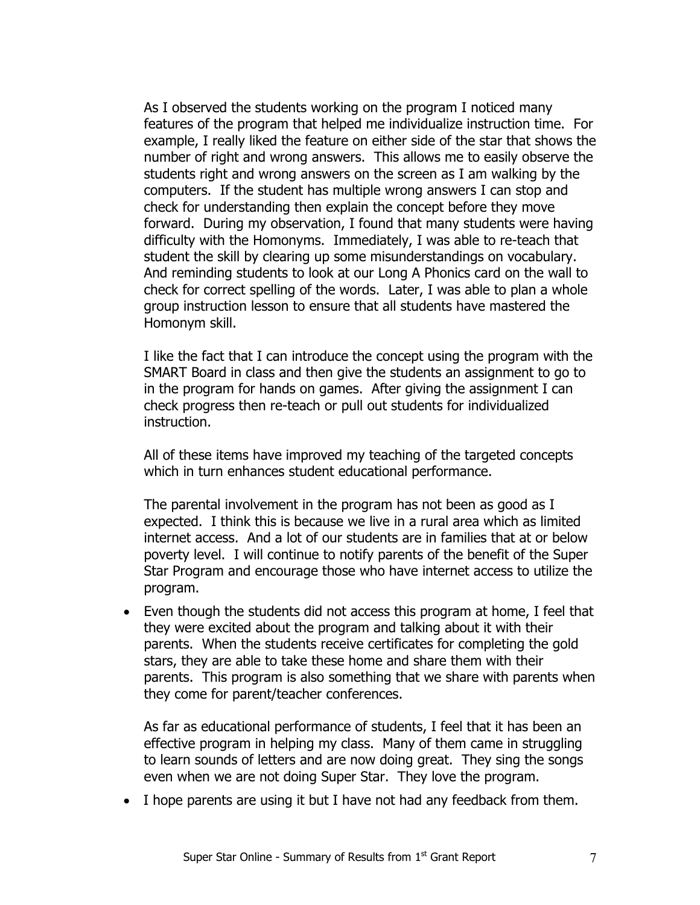As I observed the students working on the program I noticed many features of the program that helped me individualize instruction time. For example, I really liked the feature on either side of the star that shows the number of right and wrong answers. This allows me to easily observe the students right and wrong answers on the screen as I am walking by the computers. If the student has multiple wrong answers I can stop and check for understanding then explain the concept before they move forward. During my observation, I found that many students were having difficulty with the Homonyms. Immediately, I was able to re-teach that student the skill by clearing up some misunderstandings on vocabulary. And reminding students to look at our Long A Phonics card on the wall to check for correct spelling of the words. Later, I was able to plan a whole group instruction lesson to ensure that all students have mastered the Homonym skill.

I like the fact that I can introduce the concept using the program with the SMART Board in class and then give the students an assignment to go to in the program for hands on games. After giving the assignment I can check progress then re-teach or pull out students for individualized instruction.

All of these items have improved my teaching of the targeted concepts which in turn enhances student educational performance.

The parental involvement in the program has not been as good as I expected. I think this is because we live in a rural area which as limited internet access. And a lot of our students are in families that at or below poverty level. I will continue to notify parents of the benefit of the Super Star Program and encourage those who have internet access to utilize the program.

• Even though the students did not access this program at home, I feel that they were excited about the program and talking about it with their parents. When the students receive certificates for completing the gold stars, they are able to take these home and share them with their parents. This program is also something that we share with parents when they come for parent/teacher conferences.

As far as educational performance of students, I feel that it has been an effective program in helping my class. Many of them came in struggling to learn sounds of letters and are now doing great. They sing the songs even when we are not doing Super Star. They love the program.

• I hope parents are using it but I have not had any feedback from them.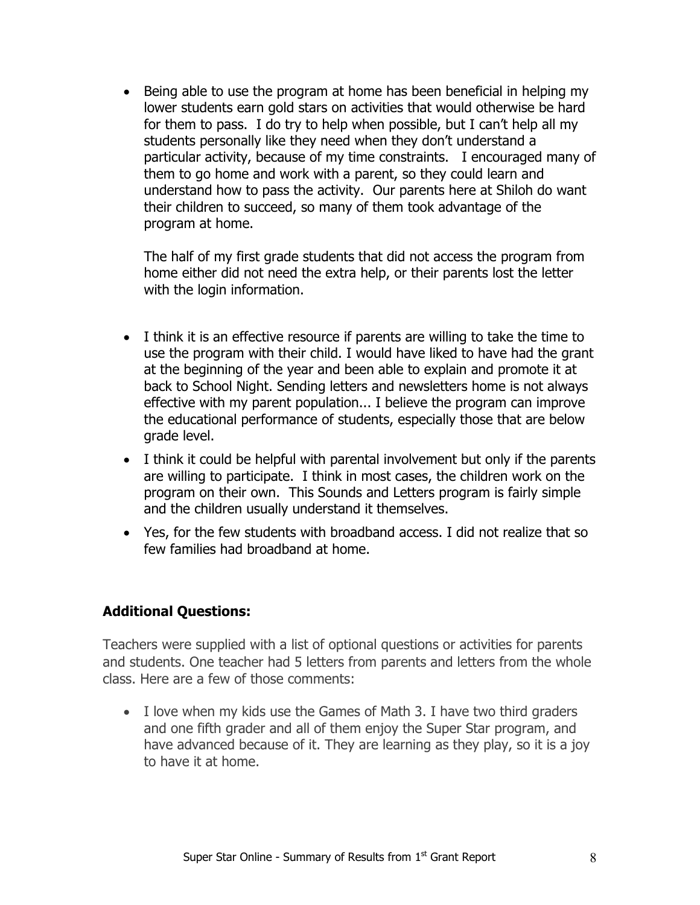• Being able to use the program at home has been beneficial in helping my lower students earn gold stars on activities that would otherwise be hard for them to pass. I do try to help when possible, but I can't help all my students personally like they need when they don't understand a particular activity, because of my time constraints. I encouraged many of them to go home and work with a parent, so they could learn and understand how to pass the activity. Our parents here at Shiloh do want their children to succeed, so many of them took advantage of the program at home.

The half of my first grade students that did not access the program from home either did not need the extra help, or their parents lost the letter with the login information.

- I think it is an effective resource if parents are willing to take the time to use the program with their child. I would have liked to have had the grant at the beginning of the year and been able to explain and promote it at back to School Night. Sending letters and newsletters home is not always effective with my parent population... I believe the program can improve the educational performance of students, especially those that are below grade level.
- I think it could be helpful with parental involvement but only if the parents are willing to participate. I think in most cases, the children work on the program on their own. This Sounds and Letters program is fairly simple and the children usually understand it themselves.
- Yes, for the few students with broadband access. I did not realize that so few families had broadband at home.

## **Additional Questions:**

Teachers were supplied with a list of optional questions or activities for parents and students. One teacher had 5 letters from parents and letters from the whole class. Here are a few of those comments:

• I love when my kids use the Games of Math 3. I have two third graders and one fifth grader and all of them enjoy the Super Star program, and have advanced because of it. They are learning as they play, so it is a joy to have it at home.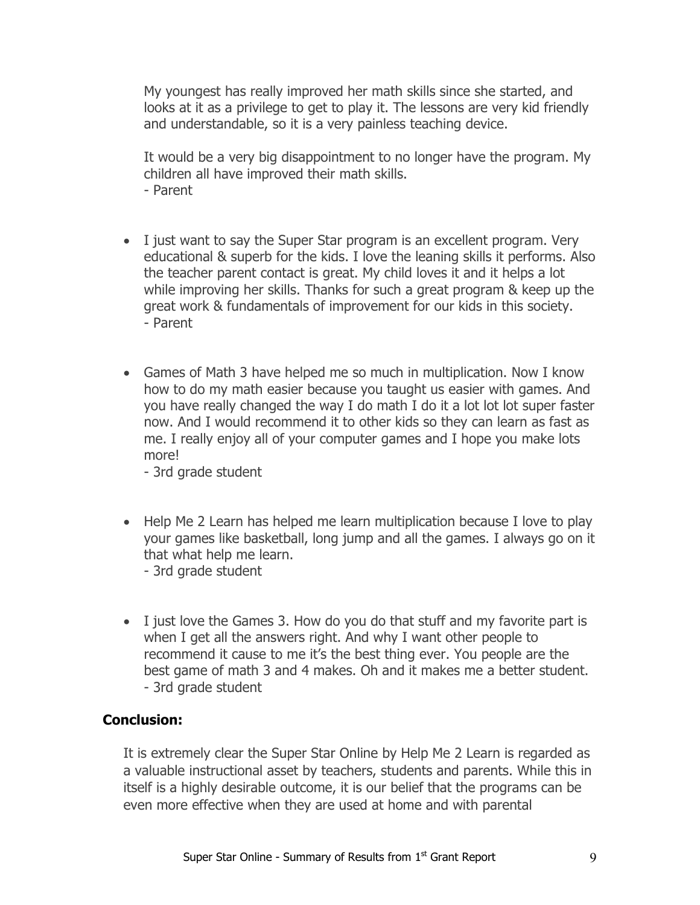My youngest has really improved her math skills since she started, and looks at it as a privilege to get to play it. The lessons are very kid friendly and understandable, so it is a very painless teaching device.

It would be a very big disappointment to no longer have the program. My children all have improved their math skills. - Parent

- I just want to say the Super Star program is an excellent program. Very educational & superb for the kids. I love the leaning skills it performs. Also the teacher parent contact is great. My child loves it and it helps a lot while improving her skills. Thanks for such a great program & keep up the great work & fundamentals of improvement for our kids in this society. - Parent
- Games of Math 3 have helped me so much in multiplication. Now I know how to do my math easier because you taught us easier with games. And you have really changed the way I do math I do it a lot lot lot super faster now. And I would recommend it to other kids so they can learn as fast as me. I really enjoy all of your computer games and I hope you make lots more!

- 3rd grade student

- Help Me 2 Learn has helped me learn multiplication because I love to play your games like basketball, long jump and all the games. I always go on it that what help me learn. - 3rd grade student
- I just love the Games 3. How do you do that stuff and my favorite part is when I get all the answers right. And why I want other people to recommend it cause to me it's the best thing ever. You people are the best game of math 3 and 4 makes. Oh and it makes me a better student. - 3rd grade student

## **Conclusion:**

It is extremely clear the Super Star Online by Help Me 2 Learn is regarded as a valuable instructional asset by teachers, students and parents. While this in itself is a highly desirable outcome, it is our belief that the programs can be even more effective when they are used at home and with parental